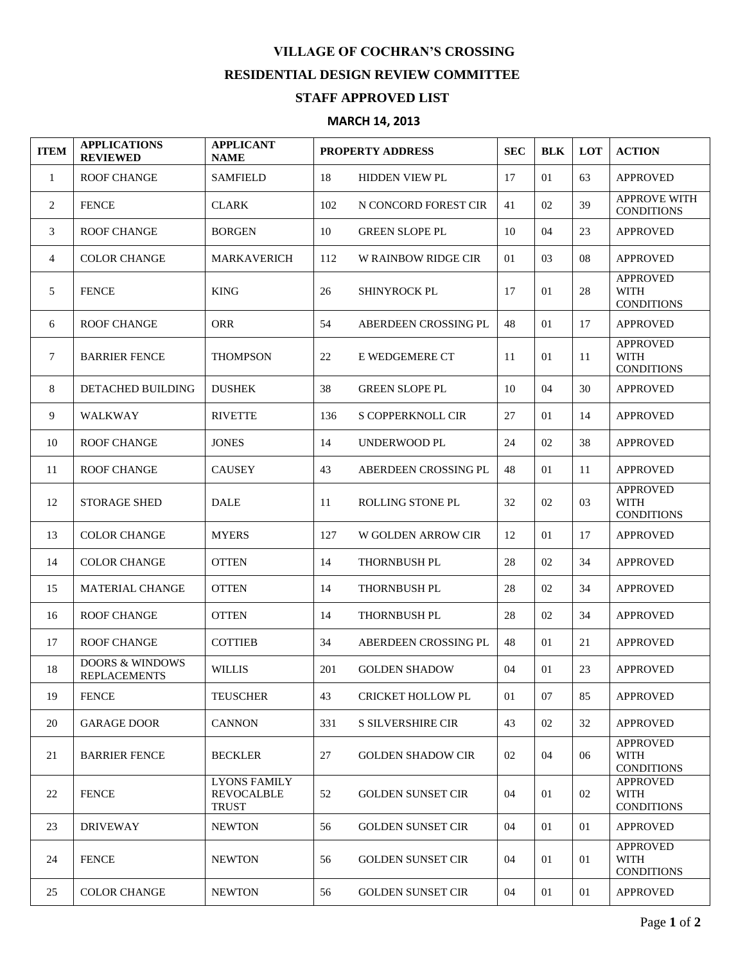## **VILLAGE OF COCHRAN'S CROSSING RESIDENTIAL DESIGN REVIEW COMMITTEE STAFF APPROVED LIST**

## **MARCH 14, 2013**

| <b>ITEM</b>    | <b>APPLICATIONS</b><br><b>REVIEWED</b>            | <b>APPLICANT</b><br><b>NAME</b>                          | <b>PROPERTY ADDRESS</b> |                          | <b>SEC</b> | <b>BLK</b> | LOT | <b>ACTION</b>                                       |
|----------------|---------------------------------------------------|----------------------------------------------------------|-------------------------|--------------------------|------------|------------|-----|-----------------------------------------------------|
| $\mathbf{1}$   | <b>ROOF CHANGE</b>                                | <b>SAMFIELD</b>                                          | 18                      | <b>HIDDEN VIEW PL</b>    | 17         | 01         | 63  | <b>APPROVED</b>                                     |
| 2              | <b>FENCE</b>                                      | <b>CLARK</b>                                             | 102                     | N CONCORD FOREST CIR     | 41         | 02         | 39  | <b>APPROVE WITH</b><br><b>CONDITIONS</b>            |
| 3              | <b>ROOF CHANGE</b>                                | <b>BORGEN</b>                                            | 10                      | <b>GREEN SLOPE PL</b>    | 10         | 04         | 23  | <b>APPROVED</b>                                     |
| $\overline{4}$ | <b>COLOR CHANGE</b>                               | <b>MARKAVERICH</b>                                       | 112                     | W RAINBOW RIDGE CIR      | 01         | 03         | 08  | <b>APPROVED</b>                                     |
| 5              | <b>FENCE</b>                                      | <b>KING</b>                                              | 26                      | <b>SHINYROCK PL</b>      | 17         | 01         | 28  | <b>APPROVED</b><br><b>WITH</b><br><b>CONDITIONS</b> |
| 6              | <b>ROOF CHANGE</b>                                | <b>ORR</b>                                               | 54                      | ABERDEEN CROSSING PL     | 48         | 01         | 17  | <b>APPROVED</b>                                     |
| 7              | <b>BARRIER FENCE</b>                              | <b>THOMPSON</b>                                          | 22                      | E WEDGEMERE CT           | 11         | 01         | 11  | <b>APPROVED</b><br><b>WITH</b><br><b>CONDITIONS</b> |
| 8              | <b>DETACHED BUILDING</b>                          | <b>DUSHEK</b>                                            | 38                      | <b>GREEN SLOPE PL</b>    | 10         | 04         | 30  | <b>APPROVED</b>                                     |
| 9              | <b>WALKWAY</b>                                    | <b>RIVETTE</b>                                           | 136                     | S COPPERKNOLL CIR        | 27         | 01         | 14  | <b>APPROVED</b>                                     |
| 10             | <b>ROOF CHANGE</b>                                | <b>JONES</b>                                             | 14                      | UNDERWOOD PL             | 24         | 02         | 38  | <b>APPROVED</b>                                     |
| 11             | <b>ROOF CHANGE</b>                                | <b>CAUSEY</b>                                            | 43                      | ABERDEEN CROSSING PL     | 48         | 01         | 11  | <b>APPROVED</b>                                     |
| 12             | <b>STORAGE SHED</b>                               | <b>DALE</b>                                              | 11                      | <b>ROLLING STONE PL</b>  | 32         | 02         | 03  | <b>APPROVED</b><br><b>WITH</b><br><b>CONDITIONS</b> |
| 13             | <b>COLOR CHANGE</b>                               | <b>MYERS</b>                                             | 127                     | W GOLDEN ARROW CIR       | 12         | 01         | 17  | <b>APPROVED</b>                                     |
| 14             | <b>COLOR CHANGE</b>                               | <b>OTTEN</b>                                             | 14                      | <b>THORNBUSH PL</b>      | 28         | 02         | 34  | <b>APPROVED</b>                                     |
| 15             | <b>MATERIAL CHANGE</b>                            | <b>OTTEN</b>                                             | 14                      | <b>THORNBUSH PL</b>      | 28         | 02         | 34  | <b>APPROVED</b>                                     |
| 16             | <b>ROOF CHANGE</b>                                | <b>OTTEN</b>                                             | 14                      | THORNBUSH PL             | 28         | 02         | 34  | <b>APPROVED</b>                                     |
| 17             | <b>ROOF CHANGE</b>                                | <b>COTTIEB</b>                                           | 34                      | ABERDEEN CROSSING PL     | 48         | 01         | 21  | <b>APPROVED</b>                                     |
| 18             | <b>DOORS &amp; WINDOWS</b><br><b>REPLACEMENTS</b> | <b>WILLIS</b>                                            | 201                     | <b>GOLDEN SHADOW</b>     | 04         | 01         | 23  | <b>APPROVED</b>                                     |
| 19             | <b>FENCE</b>                                      | <b>TEUSCHER</b>                                          | 43                      | <b>CRICKET HOLLOW PL</b> | 01         | 07         | 85  | <b>APPROVED</b>                                     |
| 20             | <b>GARAGE DOOR</b>                                | <b>CANNON</b>                                            | 331                     | S SILVERSHIRE CIR        | 43         | 02         | 32  | <b>APPROVED</b>                                     |
| 21             | <b>BARRIER FENCE</b>                              | <b>BECKLER</b>                                           | 27                      | <b>GOLDEN SHADOW CIR</b> | 02         | 04         | 06  | <b>APPROVED</b><br><b>WITH</b><br><b>CONDITIONS</b> |
| 22             | <b>FENCE</b>                                      | <b>LYONS FAMILY</b><br><b>REVOCALBLE</b><br><b>TRUST</b> | 52                      | <b>GOLDEN SUNSET CIR</b> | 04         | 01         | 02  | <b>APPROVED</b><br>WITH<br><b>CONDITIONS</b>        |
| 23             | <b>DRIVEWAY</b>                                   | <b>NEWTON</b>                                            | 56                      | <b>GOLDEN SUNSET CIR</b> | 04         | 01         | 01  | <b>APPROVED</b>                                     |
| 24             | <b>FENCE</b>                                      | <b>NEWTON</b>                                            | 56                      | <b>GOLDEN SUNSET CIR</b> | 04         | 01         | 01  | <b>APPROVED</b><br>WITH<br><b>CONDITIONS</b>        |
| 25             | <b>COLOR CHANGE</b>                               | <b>NEWTON</b>                                            | 56                      | <b>GOLDEN SUNSET CIR</b> | 04         | 01         | 01  | <b>APPROVED</b>                                     |